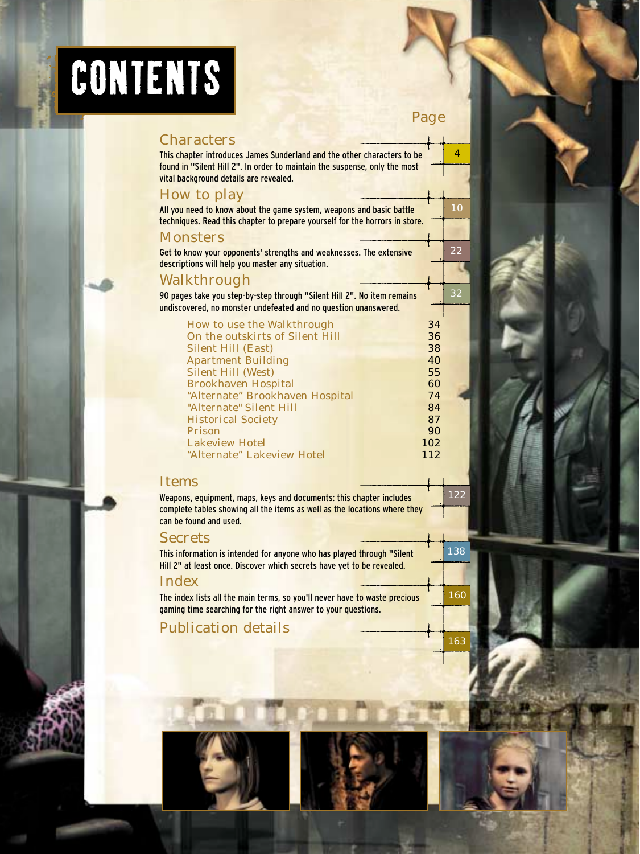# CONTENTS

| Page                                                                                                                                                                                            |     |  |  |  |
|-------------------------------------------------------------------------------------------------------------------------------------------------------------------------------------------------|-----|--|--|--|
| <b>Characters</b>                                                                                                                                                                               |     |  |  |  |
| This chapter introduces James Sunderland and the other characters to be<br>found in "Silent Hill 2". In order to maintain the suspense, only the most<br>vital background details are revealed. | 4   |  |  |  |
| <b>How to play</b>                                                                                                                                                                              |     |  |  |  |
| All you need to know about the game system, weapons and basic battle<br>techniques. Read this chapter to prepare yourself for the horrors in store.                                             | 10  |  |  |  |
| <b>Monsters</b>                                                                                                                                                                                 |     |  |  |  |
| Get to know your opponents' strengths and weaknesses. The extensive<br>descriptions will help you master any situation.                                                                         | 22  |  |  |  |
| Walkthrough                                                                                                                                                                                     |     |  |  |  |
| 90 pages take you step-by-step through "Silent Hill 2". No item remains<br>undiscovered, no monster undefeated and no question unanswered.                                                      | 32  |  |  |  |
| <b>How to use the Walkthrough</b><br>34<br>On the outskirts of Silent Hill<br>36<br><b>Silent Hill (East)</b><br>38                                                                             |     |  |  |  |
| <b>Apartment Building</b><br>40                                                                                                                                                                 |     |  |  |  |
| <b>Silent Hill (West)</b><br>55                                                                                                                                                                 |     |  |  |  |
| <b>Brookhaven Hospital</b><br>60                                                                                                                                                                |     |  |  |  |
| "Alternate" Brookhaven Hospital<br>74<br>"Alternate" Silent Hill<br>84                                                                                                                          |     |  |  |  |
| <b>Historical Society</b><br>87                                                                                                                                                                 |     |  |  |  |
| <b>Prison</b><br>90                                                                                                                                                                             |     |  |  |  |
| <b>Lakeview Hotel</b><br>102                                                                                                                                                                    |     |  |  |  |
| "Alternate" Lakeview Hotel<br>112                                                                                                                                                               |     |  |  |  |
| <b>Items</b>                                                                                                                                                                                    | 122 |  |  |  |
| Weapons, equipment, maps, keys and documents: this chapter includes<br>complete tables showing all the items as well as the locations where they<br>can be found and used.                      |     |  |  |  |
| <b>Secrets</b>                                                                                                                                                                                  |     |  |  |  |
| This information is intended for anyone who has played through "Silent<br>Hill 2" at least once. Discover which secrets have yet to be revealed.                                                |     |  |  |  |
| <b>Index</b>                                                                                                                                                                                    |     |  |  |  |
| The index lists all the main terms, so you'll never have to waste precious<br>gaming time searching for the right answer to your questions.                                                     |     |  |  |  |
| <b>Publication details</b>                                                                                                                                                                      |     |  |  |  |
|                                                                                                                                                                                                 | 163 |  |  |  |



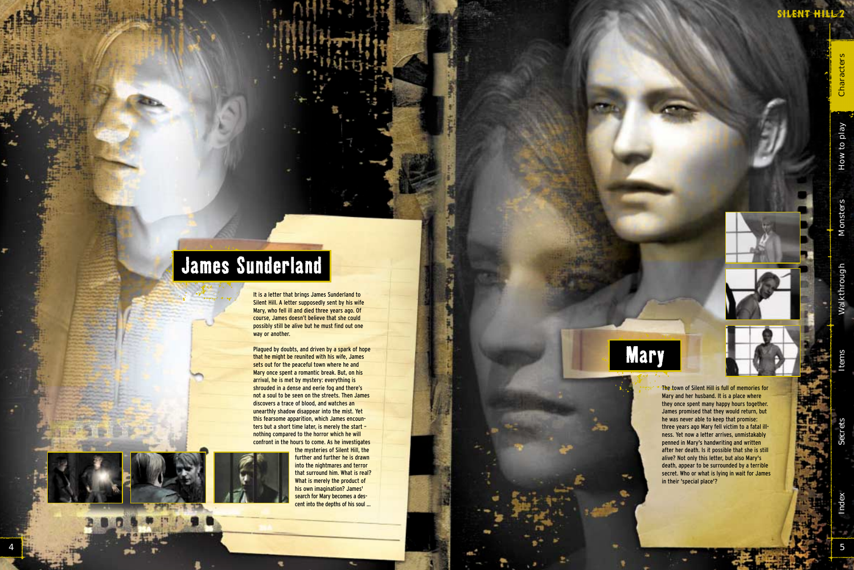5

## **James Sunderland**

It is a letter that brings James Sunderland to Silent Hill. A letter supposedly sent by his wife Mary, who fell ill and died three years ago. Of course, James doesn't believe that she could possibly still be alive but he must find out one way or another.

> The town of Silent Hill is full of memories for Mary and her husband. It is a place where they once spent many happy hours together. James promised that they would return, but he was never able to keep that promise: three years ago Mary fell victim to a fatal illness. Yet now a letter arrives, unmistakably penned in Mary's handwriting and written after her death. Is it possible that she is still alive? Not only this letter, but also Mary's death, appear to be surrounded by a terrible secret. Who or what is lying in wait for James in their 'special place'?

Cha

How to play

Plagued by doubts, and driven by a spark of hope that he might be reunited with his wife, James sets out for the peaceful town where he and Mary once spent a romantic break. But, on his arrival, he is met by mystery: everything is shrouded in a dense and eerie fog and there's not a soul to be seen on the streets. Then James discovers a trace of blood, and watches an unearthly shadow disappear into the mist. Yet this fearsome apparition, which James encounters but a short time later, is merely the start – nothing compared to the horror which he will confront in the hours to come. As he investigates



the mysteries of Silent Hill, the further and further he is drawn into the nightmares and terror that surround him. What is real? What is merely the product of his own imagination? James' search for Mary becomes a descent into the depths of his soul ...

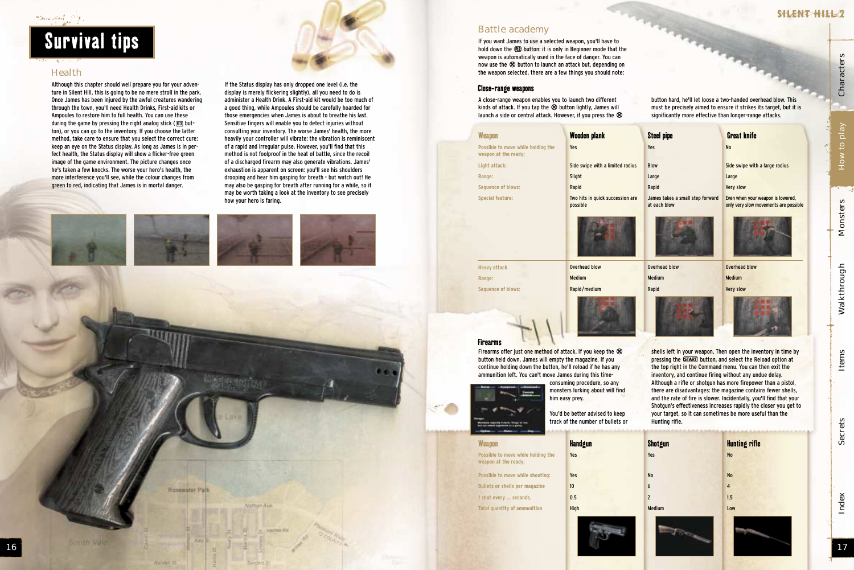#### وفاقت فيتفكان منعقلة

### Survival tips

#### **Health**

Although this chapter should well prepare you for your adventure in Silent Hill, this is going to be no mere stroll in the park. Once James has been injured by the awful creatures wandering through the town, you'll need Health Drinks, First-aid kits or Ampoules to restore him to full health. You can use these during the game by pressing the right analog stick ( **R3** button), or you can go to the inventory. If you choose the latter method, take care to ensure that you select the correct cure: keep an eye on the Status display. As long as James is in perfect health, the Status display will show a flicker-free green image of the game environment. The picture changes once he's taken a few knocks. The worse your hero's health, the more interference you'll see, while the colour changes from green to red, indicating that James is in mortal danger.





Rosewater Park

Rendell S

**Juthur Au** 

A close-range weapon enables you to launch two different kinds of attack. If you tap the ⊗ button lightly, James will<br>launch a side or central attack. However, if you press the G launch a side or central attack. However, if you press the  $\otimes$  $\tilde{z}$ 

If the Status display has only dropped one level (i.e. the display is merely flickering slightly), all you need to do is administer a Health Drink. A First-aid kit would be too much of a good thing, while Ampoules should be carefully hoarded for those emergencies when James is about to breathe his last. Sensitive fingers will enable you to detect injuries without consulting your inventory. The worse James' health, the more heavily your controller will vibrate: the vibration is reminiscent of a rapid and irregular pulse. However, you'll find that this method is not foolproof in the heat of battle, since the recoil of a discharged firearm may also generate vibrations. James' exhaustion is apparent on screen: you'll see his shoulders drooping and hear him gasping for breath - but watch out! He may also be gasping for breath after running for a while, so it may be worth taking a look at the inventory to see precisely

Index Secrets Items Walkthrough Monsters How to play Characters Walkthrough

Items

Secrets

Index







Side swipe with a large radius

Even when your weapon is lowered, only very slow movements are possible





button hard, he'll let loose a two-handed overhead blow. This must be precisely aimed to ensure it strikes its target, but it is significantly more effective than longer-range attacks.

#### Close-range weapons

If you want James to use a selected weapon, you'll have to hold down the ®2 button: it is only in Beginner mode that the<br>weapon is automatically used in the face of danger. You can weapon is automatically used in the face of danger. You can now use the  $\otimes$  button to launch an attack but, depending on<br>the weanon selected, there are a few things you should note: the weapon selected, there are a few things you should note:

|                                                                                                                                                                                                                                                                                                                                                                                                                                                                                                                                                                                                                                                                                                                                                                                                                                                                                                                         | <b>Weapon</b>                                              | <b>Wooden plank</b>                          | <b>Steel pipe</b>                                | <b>Great knife</b>                    |  |
|-------------------------------------------------------------------------------------------------------------------------------------------------------------------------------------------------------------------------------------------------------------------------------------------------------------------------------------------------------------------------------------------------------------------------------------------------------------------------------------------------------------------------------------------------------------------------------------------------------------------------------------------------------------------------------------------------------------------------------------------------------------------------------------------------------------------------------------------------------------------------------------------------------------------------|------------------------------------------------------------|----------------------------------------------|--------------------------------------------------|---------------------------------------|--|
|                                                                                                                                                                                                                                                                                                                                                                                                                                                                                                                                                                                                                                                                                                                                                                                                                                                                                                                         | Possible to move while holding the<br>weapon at the ready: | Yes                                          | Yes                                              | <b>No</b>                             |  |
|                                                                                                                                                                                                                                                                                                                                                                                                                                                                                                                                                                                                                                                                                                                                                                                                                                                                                                                         | Light attack:                                              | Side swipe with a limited radius             | <b>Blow</b>                                      | Side swipe with                       |  |
|                                                                                                                                                                                                                                                                                                                                                                                                                                                                                                                                                                                                                                                                                                                                                                                                                                                                                                                         | Range:                                                     | Slight                                       | Large                                            | Large                                 |  |
|                                                                                                                                                                                                                                                                                                                                                                                                                                                                                                                                                                                                                                                                                                                                                                                                                                                                                                                         | <b>Sequence of blows:</b>                                  | Rapid                                        | Rapid                                            | <b>Very slow</b>                      |  |
|                                                                                                                                                                                                                                                                                                                                                                                                                                                                                                                                                                                                                                                                                                                                                                                                                                                                                                                         | <b>Special feature:</b>                                    | Two hits in quick succession are<br>possible | James takes a small step forward<br>at each blow | Even when your w<br>only very slow mo |  |
|                                                                                                                                                                                                                                                                                                                                                                                                                                                                                                                                                                                                                                                                                                                                                                                                                                                                                                                         |                                                            |                                              |                                                  |                                       |  |
|                                                                                                                                                                                                                                                                                                                                                                                                                                                                                                                                                                                                                                                                                                                                                                                                                                                                                                                         | <b>Heavy attack</b>                                        | <b>Overhead blow</b>                         | Overhead blow                                    | <b>Overhead blow</b>                  |  |
|                                                                                                                                                                                                                                                                                                                                                                                                                                                                                                                                                                                                                                                                                                                                                                                                                                                                                                                         | Range:                                                     | <b>Medium</b>                                | Medium                                           | <b>Medium</b>                         |  |
|                                                                                                                                                                                                                                                                                                                                                                                                                                                                                                                                                                                                                                                                                                                                                                                                                                                                                                                         | <b>Sequence of blows:</b>                                  | Rapid/medium                                 | Rapid                                            | <b>Very slow</b>                      |  |
| <b>Firearms</b><br>Firearms offer just one method of attack. If you keep the $\otimes$<br>shells left in your weapon. Then open the inve<br>button held down, James will empty the magazine. If you<br>pressing the START) button, and select the Re<br>continue holding down the button, he'll reload if he has any<br>the top right in the Command menu. You can t<br>ammunition left. You can't move James during this time-<br>inventory, and continue firing without any und<br>consuming procedure, so any<br>Although a rifle or shotgun has more firepowe<br>monsters lurking about will find<br>there are disadvantages: the magazine contai<br>him easy prey.<br>and the rate of fire is slower. Incidentally, you<br>Shotgun's effectiveness increases rapidly the<br>You'd be better advised to keep<br>your target, so it can sometimes be more use<br>track of the number of bullets or<br>Hunting rifle. |                                                            |                                              |                                                  |                                       |  |
|                                                                                                                                                                                                                                                                                                                                                                                                                                                                                                                                                                                                                                                                                                                                                                                                                                                                                                                         | <b>Weapon</b>                                              |                                              |                                                  | <b>Hunting rifle</b>                  |  |
|                                                                                                                                                                                                                                                                                                                                                                                                                                                                                                                                                                                                                                                                                                                                                                                                                                                                                                                         | Possible to move while holding the<br>weapon at the ready: | <b>Handgun</b><br>Yes                        | Shotgun<br>Yes                                   | <b>No</b>                             |  |
|                                                                                                                                                                                                                                                                                                                                                                                                                                                                                                                                                                                                                                                                                                                                                                                                                                                                                                                         | Possible to move while shooting:                           | Yes                                          | <b>No</b>                                        | <b>No</b>                             |  |
|                                                                                                                                                                                                                                                                                                                                                                                                                                                                                                                                                                                                                                                                                                                                                                                                                                                                                                                         | <b>Bullets or shells per magazine</b>                      | 10                                           | 6                                                | $\overline{4}$                        |  |
|                                                                                                                                                                                                                                                                                                                                                                                                                                                                                                                                                                                                                                                                                                                                                                                                                                                                                                                         | 1 shot every  seconds.                                     | 0.5                                          | $\overline{c}$                                   | 1.5                                   |  |
|                                                                                                                                                                                                                                                                                                                                                                                                                                                                                                                                                                                                                                                                                                                                                                                                                                                                                                                         | <b>Total quantity of ammunition</b>                        | <b>High</b>                                  | Medium                                           | Low                                   |  |
|                                                                                                                                                                                                                                                                                                                                                                                                                                                                                                                                                                                                                                                                                                                                                                                                                                                                                                                         |                                                            |                                              |                                                  |                                       |  |

#### Battle academy

| <b>Shotgun</b> |  |
|----------------|--|
|                |  |
| Yes            |  |
|                |  |
|                |  |
|                |  |
| <b>No</b>      |  |
| 6              |  |
|                |  |
| $\overline{c}$ |  |
|                |  |
| Medium         |  |
|                |  |
|                |  |
|                |  |

| $\mathbf{16}$ |  | I | $\overline{\phantom{a}}$<br>$\begin{array}{ c c c }\hline \rule{0pt}{1.5ex}\hspace{0.15ex} & \hspace{0.15ex} \textbf{17} \end{array}$ |
|---------------|--|---|---------------------------------------------------------------------------------------------------------------------------------------|
|               |  |   |                                                                                                                                       |

| <b>Hunting rifle</b> |
|----------------------|
| <b>No</b>            |
| <b>No</b>            |
| 4                    |
| 1.5                  |
| Low                  |
|                      |
|                      |

Monsters

Characters

How to play

SHLENT HILL 2

shells left in your weapon. Then open the inventory in time by pressing the <mark>START) button,</mark> and select the Reload option at<br>the top right in the Command meny. You can then exit the the top right in the Command menu. You can then exit the inventory, and continue firing without any undue delay. Although a rifle or shotgun has more firepower than a pistol, there are disadvantages: the magazine contains fewer shells, and the rate of fire is slower. Incidentally, you'll find that your Shotgun's effectiveness increases rapidly the closer you get to your target, so it can sometimes be more useful than the Hunting rifle.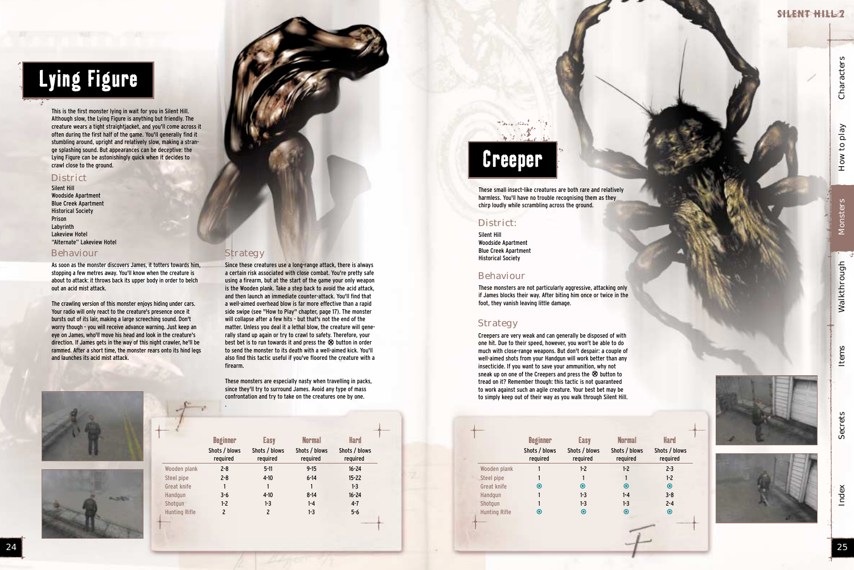

## Lying Figure

## Creeper

This is the first monster lying in wait for you in Silent Hill. Although slow, the Lying Figure is anything but friendly. The creature wears a tight straightjacket, and you'll come across it often during the first half of the game. You'll generally find it stumbling around, upright and relatively slow, making a strange splashing sound. But appearances can be deceptive: the Lying Figure can be astonishingly quick when it decides to crawl close to the ground.

#### **District**

Silent Hill Woodside Apartment Blue Creek Apartment Historical Society Prison Labyrinth Lakeview Hotel "Alternate" Lakeview Hotel

As soon as the monster discovers James, it totters towards him, stopping a few metres away. You'll know when the creature is about to attack: it throws back its upper body in order to belch out an acid mist attack.

The crawling version of this monster enjoys hiding under cars. Your radio will only react to the creature's presence once it bursts out of its lair, making a large screeching sound. Don't worry though - you will receive advance warning. Just keep an eye on James, who'll move his head and look in the creature's direction. If James gets in the way of this night crawler, he'll be rammed. After a short time, the monster rears onto its hind legs and launches its acid mist attack.





#### Behaviour

Since these creatures use a long-range attack, there is always a certain risk associated with close combat. You're pretty safe using a firearm, but at the start of the game your only weapon is the Wooden plank. Take a step back to avoid the acid attack, and then launch an immediate counter-attack. You'll find that a well-aimed overhead blow is far more effective than a rapid side swipe (see "How to Play" chapter, page 17). The monster will collapse after a few hits - but that's not the end of the matter. Unless you deal it a lethal blow, the creature will generally stand up again or try to crawl to safety. Therefore, your best bet is to run towards it and press the ⊗ button in order<br>to send the monster to its death with a well-aimed kick. You'l to send the monster to its death with a well-aimed kick. You'll also find this tactic useful if you've floored the creature with a firearm.

These monsters are especially nasty when travelling in packs, since they'll try to surround James. Avoid any type of mass confrontation and try to take on the creatures one by one.

.

These small insect-like creatures are both rare and relatively harmless. You'll have no trouble recognising them as they chirp loudly while scrambling across the ground.

Silent Hill Woodside Apartment Blue Creek Apartment Historical Society

#### District:

These monsters are not particularly aggressive, attacking only if James blocks their way. After biting him once or twice in the foot, they vanish leaving little damage.

#### **Strategy**

#### Behaviour

Creepers are very weak and can generally be disposed of with one hit. Due to their speed, however, you won't be able to do much with close-range weapons. But don't despair: a couple of well-aimed shots from your Handgun will work better than any insecticide. If you want to save your ammunition, why not sneak up on one of the Creepers and press the ⊗ button to<br>tread on it? Remember though: this tactic is not guaranteed tread on it? Remember though: this tactic is not guaranteed to work against such an agile creature. Your best bet may be to simply keep out of their way as you walk through Silent Hill.

|                      | <b>Beginner</b>           | <b>Easy</b>               | <b>Normal</b>             | <b>Hard</b>               |
|----------------------|---------------------------|---------------------------|---------------------------|---------------------------|
|                      | Shots / blows<br>required | Shots / blows<br>required | Shots / blows<br>required | Shots / blows<br>required |
| Wooden plank         | $2 - 8$                   | $5 - 11$                  | $9 - 15$                  | $16 - 24$                 |
| Steel pipe           | $2 - 8$                   | $4-10$                    | $6 - 14$                  | $15 - 22$                 |
| Great knife          |                           |                           |                           | $1-3$                     |
| Handqun              | $3 - 6$                   | $4 - 10$                  | $8 - 14$                  | $16 - 24$                 |
| Shotqun              | $1 - 2$                   | $1 - 3$                   | $1 - 4$                   | $4 - 7$                   |
| <b>Hunting Rifle</b> | 2                         | $\mathbf{2}$              | $1-3$                     | $5 - 6$                   |

#### **Strategy**

|                      | <b>Beginner</b>           | <b>Easy</b>               | <b>Normal</b>             |
|----------------------|---------------------------|---------------------------|---------------------------|
|                      | Shots / blows<br>required | Shots / blows<br>required | Shots / blows<br>required |
| Wooden plank         |                           | $1 - 2$                   | $1-2$                     |
| Steel pipe           |                           |                           |                           |
| <b>Great knife</b>   | ◉                         | ◉                         | $\mathbf \Theta$          |
| Handqun              |                           | $1-3$                     | $1 - 4$                   |
| Shotgun              |                           | $1-3$                     | $1-3$                     |
| <b>Hunting Rifle</b> | ◉                         | ◉                         | ◉                         |
|                      |                           |                           |                           |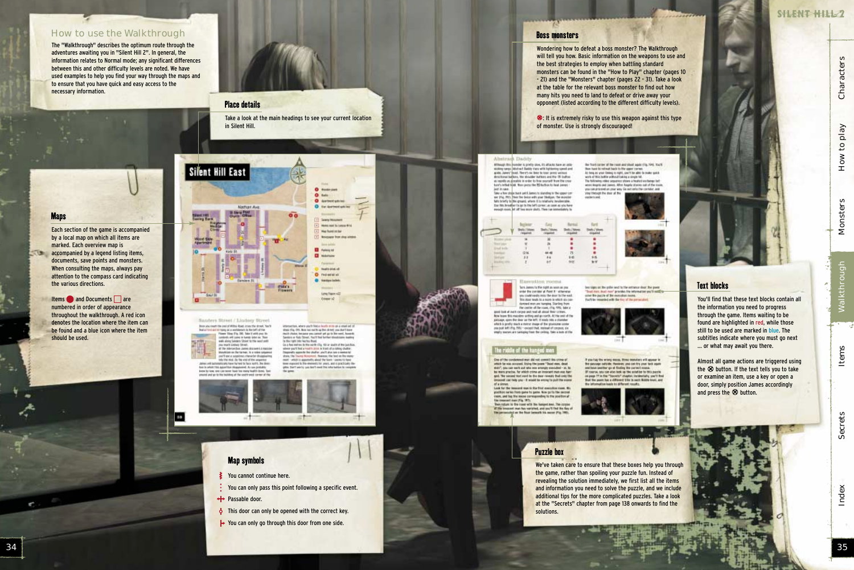Index Secrets Items Walkthrough Monsters How to play Characters

Nalkthrough

**Items** 

**Secrets** 

**A** 

Characters

to play

 $How$ 

**Monsters** 

SHLENT HILL 2

The "Walkthrough" describes the optimum route through the adventures awaiting you in "Silent Hill 2". In general, the information relates to Normal mode; any significant differences between this and other difficulty levels are noted. We have used examples to help you find your way through the maps and to ensure that you have quick and easy access to the necessary information.



#### How to use the Walkthrough

Items and Documents are numbered in order of appearance throughout the walkthrough. A red icon denotes the location where the item can be found and a blue icon where the item

- You cannot continue here.
- You can only pass this point following a specific event.
- ← Passable door.
- $\bullet$  This door can only be opened with the correct key.
- **→** You can only go through this door from one side.

Each section of the game is accompanied by a local map on which all items are marked. Each overview map is **accompanied by a legend listing items,** documents, save points and monsters. When consulting the maps, always pay attention to the compass card indicating

the various directions.

**Maps** 

We've taken care to ensure that these boxes help you through the game, rather than spoiling your puzzle fun. Instead of revealing the solution immediately, we first list all the items and information you need to solve the puzzle, and we include additional tips for the more complicated puzzles. Take a look at the "Secrets" chapter from page 138 onwards to find the solutions.

should be used.

You'll find that these text blocks contain all the information you need to progress through the game. Items waiting to be found are highlighted in red, while those still to be used are marked in blue. The subtitles indicate where you must go next … or what may await you there.

#### Map symbols

Almost all game actions are triggered using the  $\otimes$  button. If the text tells you to take<br>or examine an item, use a key or onen a or examine an item, use a key or open a door, simply position James accordingly and press the  $\otimes$  button.

Index

#### Puzzle box

Take a look at the main headings to see your current location in Silent Hill.



Sanders Street / Lindsey Street Box you reach the year of Wilton Road, arous the shoet, Year's the year of Willie wheel, cross the set of the<br>The Tayan and a workheels to be left of the<br>Thome Mang Fig. 100, base of areti year the<br>technique of Cynnel in buildy lefter on. Then<br>well and Cynnel in the west artificial<br>pr

if the interaction James drawers a massive Mondelast on the karmer. Is a crisis subport yearly and a number of the webst disagger<br>into the telef. By the wist of the sequence James will automatizary frawd for held for face month. But does has in while this associate diseasered. As you broughknow he tony desired a profit face that many health firms. They amond and go to the building of the search west corner of the

88

themselves, where you'll find a chall's mine as a small set of externation, more your country of the direct pass dust time<br>multi-thinks, because you cannot yet go in the eest, hannots<br>Landers or Safe: Seven by cannot yet go in the eest, hannots<br>Landers or Safe: Sarets: Road, is a few meters to the party city. All or easily of the just this. was the contract of the second contract of the second contract of the second contract of the second contract of the second contract of the second contract of the second contract of the second for the second contract of the said : which is appointedly about the finals : seems to have

**Seeny Houston** Hotel start to Louis #14

**Has front on bar Novement from shop wind** 

Militane

**Supported at** 

Los Farrists

Esteen of



used to this allegancy for years, and is amptically lineallie. Darft wirfu von Berlt zweit flie lebe hatten be renig



#### Place details



Wondering how to defeat a boss monster? The Walkthrough will tell you how. Basic information on the weapons to use and the best strategies to employ when battling standard monsters can be found in the "How to Play" chapter (pages 10 - 21) and the "Monsters" chapter (pages 22 - 31). Take a look at the table for the relevant boss monster to find out how many hits you need to land to defeat or drive away your opponent (listed according to the different difficulty levels).

N: It is extremely risky to use this weapon against this type of monster. Use is strongly discouraged!

the fixed carrier of the runni and short signification from that the fine faces to retried that it for upper correct. As in our cases and it is not constant to all the same space. We note of the battle without this asympt

The following video sequence shows a healted wechange bet-<br>week lingets and James. After Angela studies and of the mone.

cu can proceed on your way, So not only the corridor, and

ber sign: at 'be gold level to the intranor dust; the paint "That they best man" provides the information you"! note:<br>since the partie of the execution many.<br>For't be resulted with the Arc of the portugues.

you theough the door at the<br>costern and

#### Alteriorard Thurbid

Atthough this muscler is printly slow, its attacks have at addressing speed and<br>moling surge, Wishnach Bakily man with highlanding speed and<br>grade, James' (seed, There's no lines to sure, prints verient) directional big bins, the shoulder but bins and the Oil button as repolls as people's in sinke to have assessiff from the cross Low's initial light. Then perce the RD butbies to head James.

For the Wolf Disk. Then perts the ISI further to further the former and party contained by the state of the state of the basic of the basic party of the basic party than the basic state basic interaction of the state of t

**Business Cost** Bankal Eard Shelts / Money Stefa / Month  $44.48$ **UH**  $34$ 쓶 846  $\frac{95}{87}$ ñű



where the content of the fixed to the word.<br>This does much bi a most in which six con-<br>downed must are hanging. She fing from<br>the contine of the russes, cFig. 976; hele a good look at each carpea and read all about fleer crimes. Row leave this macober artifing and go north. At the and of the<br>patitage, ques the door as the tell, it is adv this a chander process special control materials of the processes created which is profit that a material man, then processes in<br>The pair book left (7hg, 750) - record that, thereof of compact, inc.<br>results masses are sampled from the ce

#### The riddle of the hanged men

One of the contenued man did not commit the crime of Over of the constructed may did not commutively considered in the same stand and the press "Read may, dend in the same standard procedure in the same procedure in the same bare states of which constructed in the same proc of a sloven.<br>Look for the templent mas in the first executive room. We

portion on he from pane to game how go to the second<br>raws, and by the most corresponding to the position of<br>the insurant man (Fig. 201).<br>Then report to the coast with the fampet man, The corpor

masset met het varished, and sou'll find the Key o<br>leisdigt en the floor bemeelt his move (Fig. 1981.

 $\theta$  put but the second second terms considers will appear in the procedure satisfies a second second second consideration of the second second second second second second second second second second second second second by information least to different results.



#### Boss monsters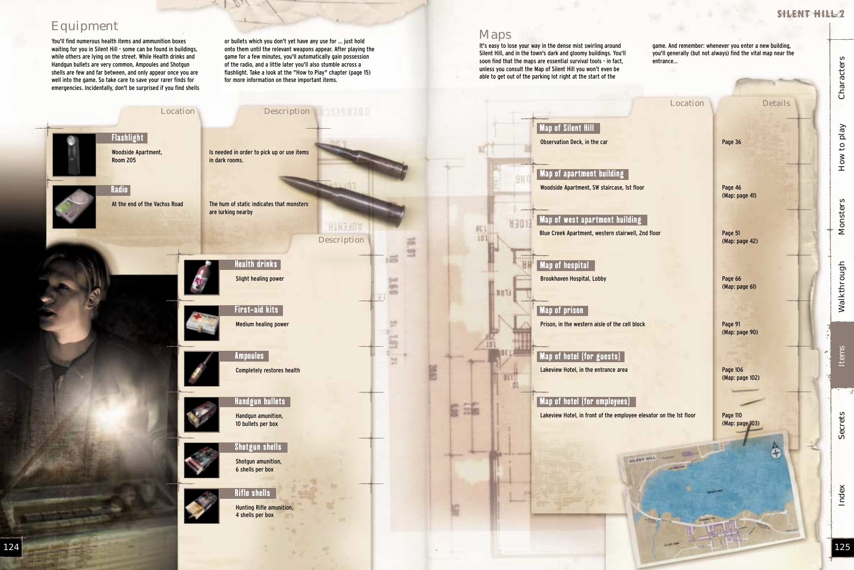Index Secrets Items Walkthrough Monsters How to play Characters

Walkthrough

Items

Secrets

**Monsters** 

Characters

How to play

SHENT HILL?

You'll find numerous health items and ammunition boxes waiting for you in Silent Hill - some can be found in buildings, while others are lying on the street. While Health drinks and Handgun bullets are very common, Ampoules and Shotgun shells are few and far between, and only appear once you are well into the game. So take care to save your rarer finds for emergencies. Incidentally, don't be surprised if you find shells or bullets which you don't yet have any use for … just hold onto them until the relevant weapons appear. After playing the game for a few minutes, you'll automatically gain possession of the radio, and a little later you'll also stumble across a flashlight. Take a look at the "How to Play" chapter (page 15) for more information on these important items.

> Page 46 (Map: page 41)

### Equipment

Page 91 (Map: page 90)



game. And remember: whenever you enter a new building, you'll generally (but not always) find the vital map near the entrance...

Location Details

#### Maps

It's easy to lose your way in the dense mist swirling around Silent Hill, and in the town's dark and gloomy buildings. You'll soon find that the maps are essential survival tools - in fact, unless you consult the Map of Silent Hill you won't even be able to get out of the parking lot right at the start of the

> Page 51 (Map: page 42)

Page 66 (Map: page 61)

Page 106 (Map: page 102)

Page 110 (Map: page 103)

æ,

Index